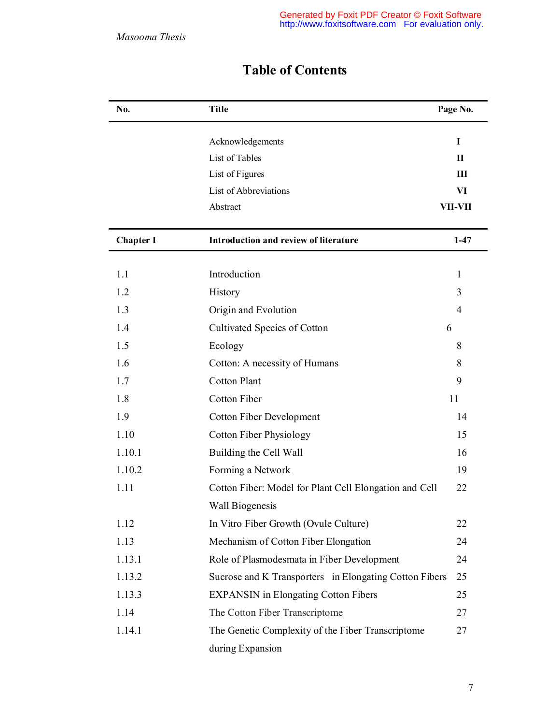| No.              | <b>Title</b>                                           | Page No.       |
|------------------|--------------------------------------------------------|----------------|
|                  | Acknowledgements                                       | $\mathbf I$    |
|                  | List of Tables                                         | $\mathbf{I}$   |
|                  | List of Figures                                        | III            |
|                  | List of Abbreviations                                  | VI             |
|                  | Abstract                                               | VII-VII        |
| <b>Chapter I</b> | Introduction and review of literature                  | $1-47$         |
| 1.1              | Introduction                                           | $\mathbf{1}$   |
| 1.2              | History                                                | 3              |
| 1.3              | Origin and Evolution                                   | $\overline{4}$ |
| 1.4              | Cultivated Species of Cotton                           | 6              |
| 1.5              | Ecology                                                | 8              |
| 1.6              | Cotton: A necessity of Humans                          | 8              |
| 1.7              | <b>Cotton Plant</b>                                    | 9              |
| 1.8              | <b>Cotton Fiber</b>                                    | 11             |
| 1.9              | <b>Cotton Fiber Development</b>                        | 14             |
| 1.10             | <b>Cotton Fiber Physiology</b>                         | 15             |
| 1.10.1           | Building the Cell Wall                                 | 16             |
| 1.10.2           | Forming a Network                                      | 19             |
| 1.11             | Cotton Fiber: Model for Plant Cell Elongation and Cell | 22             |
|                  | <b>Wall Biogenesis</b>                                 |                |
| 1.12             | In Vitro Fiber Growth (Ovule Culture)                  | 22             |
| 1.13             | Mechanism of Cotton Fiber Elongation                   | 24             |
| 1.13.1           | Role of Plasmodesmata in Fiber Development             | 24             |
| 1.13.2           | Sucrose and K Transporters in Elongating Cotton Fibers | 25             |
| 1.13.3           | <b>EXPANSIN</b> in Elongating Cotton Fibers            | 25             |
| 1.14             | The Cotton Fiber Transcriptome                         | 27             |
| 1.14.1           | The Genetic Complexity of the Fiber Transcriptome      | 27             |
|                  | during Expansion                                       |                |

# **Table of Contents**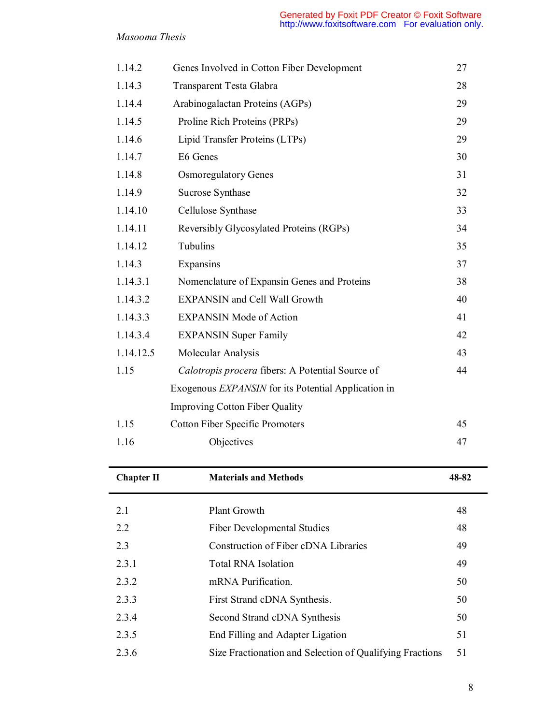| 1.14.2            | Genes Involved in Cotton Fiber Development          | 27    |
|-------------------|-----------------------------------------------------|-------|
| 1.14.3            | Transparent Testa Glabra                            | 28    |
| 1.14.4            | Arabinogalactan Proteins (AGPs)                     | 29    |
| 1.14.5            | Proline Rich Proteins (PRPs)                        | 29    |
| 1.14.6            | Lipid Transfer Proteins (LTPs)                      | 29    |
| 1.14.7            | E6 Genes                                            | 30    |
| 1.14.8            | <b>Osmoregulatory Genes</b>                         | 31    |
| 1.14.9            | <b>Sucrose Synthase</b>                             | 32    |
| 1.14.10           | Cellulose Synthase                                  | 33    |
| 1.14.11           | Reversibly Glycosylated Proteins (RGPs)             | 34    |
| 1.14.12           | Tubulins                                            | 35    |
| 1.14.3            | Expansins                                           | 37    |
| 1.14.3.1          | Nomenclature of Expansin Genes and Proteins         | 38    |
| 1.14.3.2          | <b>EXPANSIN</b> and Cell Wall Growth                | 40    |
| 1.14.3.3          | <b>EXPANSIN Mode of Action</b>                      | 41    |
| 1.14.3.4          | <b>EXPANSIN Super Family</b>                        | 42    |
| 1.14.12.5         | Molecular Analysis                                  | 43    |
| 1.15              | Calotropis procera fibers: A Potential Source of    | 44    |
|                   | Exogenous EXPANSIN for its Potential Application in |       |
|                   | <b>Improving Cotton Fiber Quality</b>               |       |
| 1.15              | <b>Cotton Fiber Specific Promoters</b>              | 45    |
| 1.16              | Objectives                                          | 47    |
| <b>Chapter II</b> | <b>Materials and Methods</b>                        | 48-82 |
|                   |                                                     |       |
| 2.1               | Plant Growth                                        | 48    |
| 2.2               | <b>Fiber Developmental Studies</b>                  | 48    |
| 2.3               | Construction of Fiber cDNA Libraries                | 49    |
| 2.3.1             | <b>Total RNA Isolation</b>                          | 49    |
| 2.3.2             | mRNA Purification.                                  | 50    |
| 2.3.3             | First Strand cDNA Synthesis.                        | 50    |
| 2.3.4             | Second Strand cDNA Synthesis                        | 50    |
| 2.3.5             | End Filling and Adapter Ligation                    | 51    |

2.3.6 Size Fractionation and Selection of Qualifying Fractions 51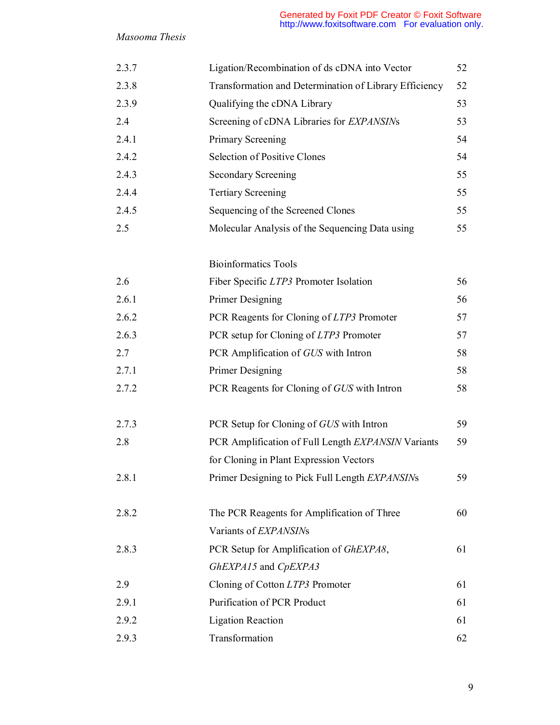| 2.3.7 | Ligation/Recombination of ds cDNA into Vector          | 52 |
|-------|--------------------------------------------------------|----|
| 2.3.8 | Transformation and Determination of Library Efficiency | 52 |
| 2.3.9 | Qualifying the cDNA Library                            | 53 |
| 2.4   | Screening of cDNA Libraries for EXPANSINs              | 53 |
| 2.4.1 | Primary Screening                                      | 54 |
| 2.4.2 | <b>Selection of Positive Clones</b>                    | 54 |
| 2.4.3 | <b>Secondary Screening</b>                             | 55 |
| 2.4.4 | <b>Tertiary Screening</b>                              | 55 |
| 2.4.5 | Sequencing of the Screened Clones                      | 55 |
| 2.5   | Molecular Analysis of the Sequencing Data using        | 55 |
|       |                                                        |    |
|       | <b>Bioinformatics Tools</b>                            |    |
| 2.6   | Fiber Specific LTP3 Promoter Isolation                 | 56 |
| 2.6.1 | Primer Designing                                       | 56 |
| 2.6.2 | PCR Reagents for Cloning of LTP3 Promoter              | 57 |
| 2.6.3 | PCR setup for Cloning of LTP3 Promoter                 | 57 |
| 2.7   | PCR Amplification of GUS with Intron                   | 58 |
| 2.7.1 | Primer Designing                                       | 58 |
| 2.7.2 | PCR Reagents for Cloning of GUS with Intron            | 58 |
| 2.7.3 | PCR Setup for Cloning of GUS with Intron               | 59 |
| 2.8   | PCR Amplification of Full Length EXPANSIN Variants     | 59 |
|       | for Cloning in Plant Expression Vectors                |    |
| 2.8.1 | Primer Designing to Pick Full Length EXPANSINs         | 59 |
|       |                                                        |    |
| 2.8.2 | The PCR Reagents for Amplification of Three            | 60 |
|       | Variants of EXPANSINs                                  |    |
| 2.8.3 | PCR Setup for Amplification of GhEXPA8,                | 61 |
|       | GhEXPA15 and CpEXPA3                                   |    |
| 2.9   | Cloning of Cotton LTP3 Promoter                        | 61 |
| 2.9.1 | Purification of PCR Product                            | 61 |
| 2.9.2 | <b>Ligation Reaction</b>                               | 61 |
| 2.9.3 | Transformation                                         | 62 |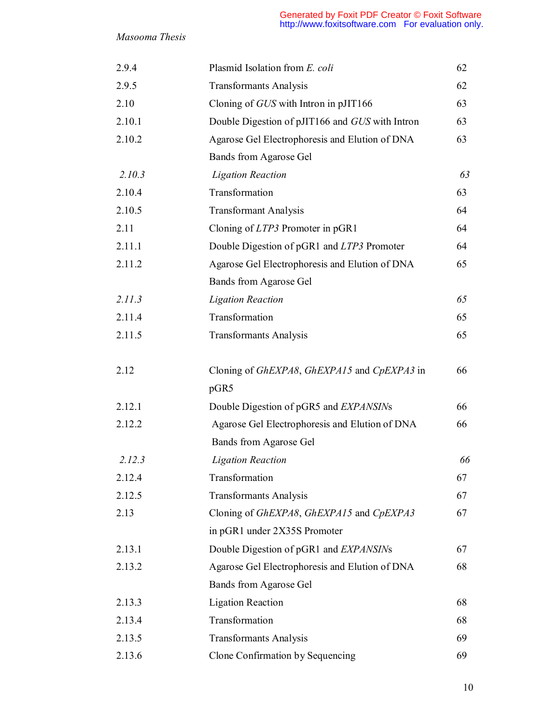| 2.9.4  | Plasmid Isolation from E. coli                  | 62 |
|--------|-------------------------------------------------|----|
| 2.9.5  | <b>Transformants Analysis</b>                   | 62 |
| 2.10   | Cloning of GUS with Intron in pJIT166           | 63 |
| 2.10.1 | Double Digestion of pJIT166 and GUS with Intron | 63 |
| 2.10.2 | Agarose Gel Electrophoresis and Elution of DNA  | 63 |
|        | <b>Bands from Agarose Gel</b>                   |    |
| 2.10.3 | <b>Ligation Reaction</b>                        | 63 |
| 2.10.4 | Transformation                                  | 63 |
| 2.10.5 | <b>Transformant Analysis</b>                    | 64 |
| 2.11   | Cloning of $LTP3$ Promoter in $pGR1$            | 64 |
| 2.11.1 | Double Digestion of pGR1 and LTP3 Promoter      | 64 |
| 2.11.2 | Agarose Gel Electrophoresis and Elution of DNA  | 65 |
|        | <b>Bands from Agarose Gel</b>                   |    |
| 2.11.3 | <b>Ligation Reaction</b>                        | 65 |
| 2.11.4 | Transformation                                  | 65 |
| 2.11.5 | <b>Transformants Analysis</b>                   | 65 |
| 2.12   | Cloning of GhEXPA8, GhEXPA15 and CpEXPA3 in     | 66 |
|        | pGR5                                            |    |
| 2.12.1 | Double Digestion of pGR5 and EXPANSINs          | 66 |
| 2.12.2 | Agarose Gel Electrophoresis and Elution of DNA  | 66 |
|        | <b>Bands from Agarose Gel</b>                   |    |
| 2.12.3 | <b>Ligation Reaction</b>                        | 66 |
| 2.12.4 | Transformation                                  | 67 |
| 2.12.5 | <b>Transformants Analysis</b>                   | 67 |
| 2.13   | Cloning of GhEXPA8, GhEXPA15 and CpEXPA3        | 67 |
|        | in pGR1 under 2X35S Promoter                    |    |
| 2.13.1 | Double Digestion of pGR1 and EXPANSINs          | 67 |
| 2.13.2 | Agarose Gel Electrophoresis and Elution of DNA  | 68 |
|        | Bands from Agarose Gel                          |    |
| 2.13.3 | <b>Ligation Reaction</b>                        | 68 |
| 2.13.4 | Transformation                                  | 68 |
| 2.13.5 | <b>Transformants Analysis</b>                   | 69 |
| 2.13.6 | Clone Confirmation by Sequencing                | 69 |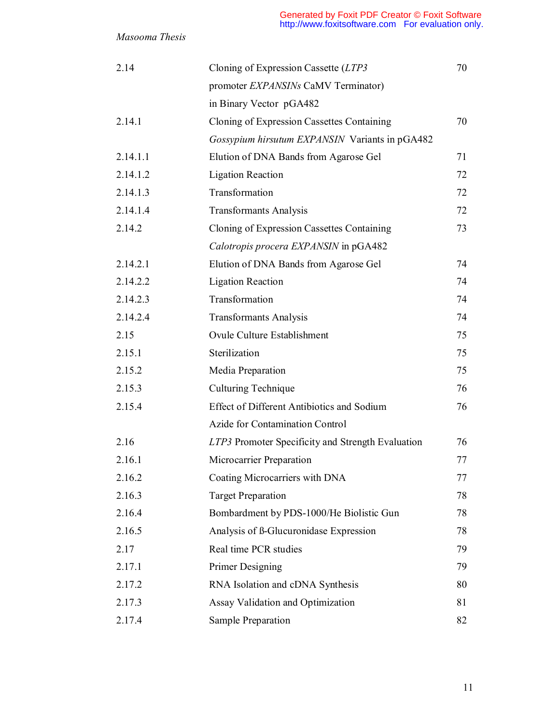| 2.14     | Cloning of Expression Cassette (LTP3              | 70 |
|----------|---------------------------------------------------|----|
|          | promoter EXPANSINs CaMV Terminator)               |    |
|          | in Binary Vector pGA482                           |    |
| 2.14.1   | Cloning of Expression Cassettes Containing        | 70 |
|          | Gossypium hirsutum EXPANSIN Variants in pGA482    |    |
| 2.14.1.1 | Elution of DNA Bands from Agarose Gel             | 71 |
| 2.14.1.2 | <b>Ligation Reaction</b>                          | 72 |
| 2.14.1.3 | Transformation                                    | 72 |
| 2.14.1.4 | <b>Transformants Analysis</b>                     | 72 |
| 2.14.2   | Cloning of Expression Cassettes Containing        | 73 |
|          | Calotropis procera EXPANSIN in pGA482             |    |
| 2.14.2.1 | Elution of DNA Bands from Agarose Gel             | 74 |
| 2.14.2.2 | <b>Ligation Reaction</b>                          | 74 |
| 2.14.2.3 | Transformation                                    | 74 |
| 2.14.2.4 | <b>Transformants Analysis</b>                     | 74 |
| 2.15     | <b>Ovule Culture Establishment</b>                | 75 |
| 2.15.1   | Sterilization                                     | 75 |
| 2.15.2   | Media Preparation                                 | 75 |
| 2.15.3   | <b>Culturing Technique</b>                        | 76 |
| 2.15.4   | <b>Effect of Different Antibiotics and Sodium</b> | 76 |
|          | Azide for Contamination Control                   |    |
| 2.16     | LTP3 Promoter Specificity and Strength Evaluation | 76 |
| 2.16.1   | Microcarrier Preparation                          | 77 |
| 2.16.2   | Coating Microcarriers with DNA                    | 77 |
| 2.16.3   | <b>Target Preparation</b>                         | 78 |
| 2.16.4   | Bombardment by PDS-1000/He Biolistic Gun          | 78 |
| 2.16.5   | Analysis of ß-Glucuronidase Expression            | 78 |
| 2.17     | Real time PCR studies                             | 79 |
| 2.17.1   | <b>Primer Designing</b>                           | 79 |
| 2.17.2   | RNA Isolation and cDNA Synthesis                  | 80 |
| 2.17.3   | Assay Validation and Optimization                 | 81 |
| 2.17.4   | Sample Preparation                                | 82 |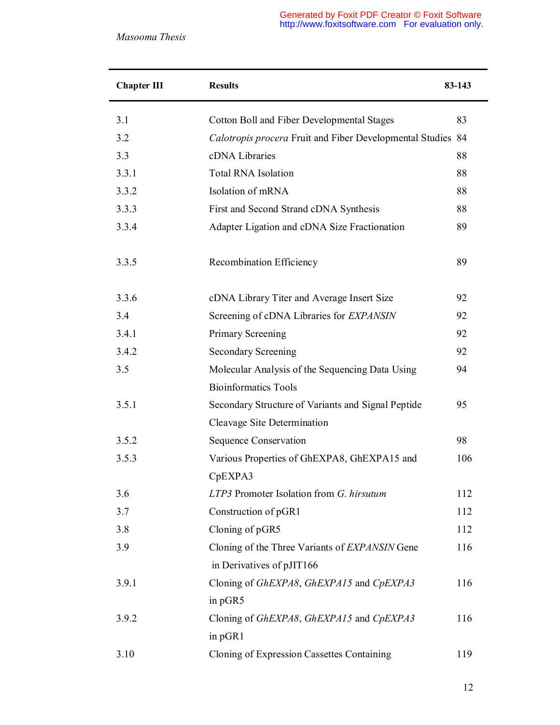| <b>Chapter III</b> | <b>Results</b>                                              | 83-143 |
|--------------------|-------------------------------------------------------------|--------|
| 3.1                | Cotton Boll and Fiber Developmental Stages                  | 83     |
| 3.2                | Calotropis procera Fruit and Fiber Developmental Studies 84 |        |
| 3.3                | cDNA Libraries                                              | 88     |
| 3.3.1              | <b>Total RNA Isolation</b>                                  | 88     |
| 3.3.2              | Isolation of mRNA                                           | 88     |
| 3.3.3              | First and Second Strand cDNA Synthesis                      | 88     |
| 3.3.4              | Adapter Ligation and cDNA Size Fractionation                | 89     |
| 3.3.5              | Recombination Efficiency                                    | 89     |
| 3.3.6              | cDNA Library Titer and Average Insert Size                  | 92     |
| 3.4                | Screening of cDNA Libraries for EXPANSIN                    | 92     |
| 3.4.1              | Primary Screening                                           | 92     |
| 3.4.2              | <b>Secondary Screening</b>                                  | 92     |
| 3.5                | Molecular Analysis of the Sequencing Data Using             | 94     |
|                    | <b>Bioinformatics Tools</b>                                 |        |
| 3.5.1              | Secondary Structure of Variants and Signal Peptide          | 95     |
|                    | Cleavage Site Determination                                 |        |
| 3.5.2              | <b>Sequence Conservation</b>                                | 98     |
| 3.5.3              | Various Properties of GhEXPA8, GhEXPA15 and                 | 106    |
|                    | CpEXPA3                                                     |        |
| 3.6                | LTP3 Promoter Isolation from G. hirsutum                    | 112    |
| 3.7                | Construction of pGR1                                        | 112    |
| 3.8                | Cloning of pGR5                                             | 112    |
| 3.9                | Cloning of the Three Variants of EXPANSIN Gene              | 116    |
|                    | in Derivatives of pJIT166                                   |        |
| 3.9.1              | Cloning of GhEXPA8, GhEXPA15 and CpEXPA3                    | 116    |
|                    | in pGR5                                                     |        |
| 3.9.2              | Cloning of GhEXPA8, GhEXPA15 and CpEXPA3                    | 116    |
|                    | in pGR1                                                     |        |
| 3.10               | Cloning of Expression Cassettes Containing                  | 119    |